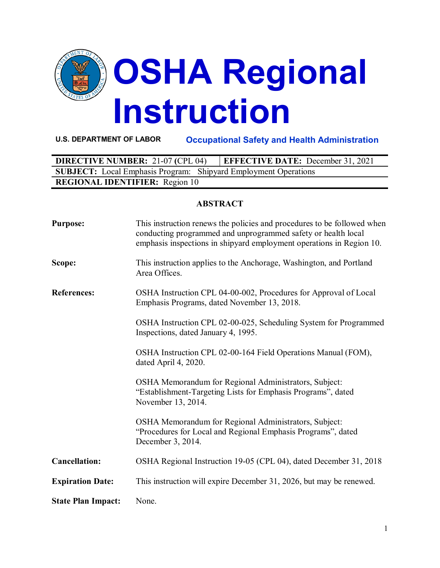

**U.S. DEPARTMENT OF LABOR Occupational Safety and Health Administration**

| <b>DIRECTIVE NUMBER: 21-07 (CPL 04)</b>                                | <b>EFFECTIVE DATE:</b> December 31, 2021 |  |  |  |
|------------------------------------------------------------------------|------------------------------------------|--|--|--|
| <b>SUBJECT:</b> Local Emphasis Program: Shipyard Employment Operations |                                          |  |  |  |
| <b>REGIONAL IDENTIFIER:</b> Region 10                                  |                                          |  |  |  |

#### **ABSTRACT**

| <b>Purpose:</b>           | This instruction renews the policies and procedures to be followed when<br>conducting programmed and unprogrammed safety or health local<br>emphasis inspections in shipyard employment operations in Region 10. |
|---------------------------|------------------------------------------------------------------------------------------------------------------------------------------------------------------------------------------------------------------|
| Scope:                    | This instruction applies to the Anchorage, Washington, and Portland<br>Area Offices.                                                                                                                             |
| <b>References:</b>        | OSHA Instruction CPL 04-00-002, Procedures for Approval of Local<br>Emphasis Programs, dated November 13, 2018.                                                                                                  |
|                           | OSHA Instruction CPL 02-00-025, Scheduling System for Programmed<br>Inspections, dated January 4, 1995.                                                                                                          |
|                           | OSHA Instruction CPL 02-00-164 Field Operations Manual (FOM),<br>dated April 4, 2020.                                                                                                                            |
|                           | OSHA Memorandum for Regional Administrators, Subject:<br>"Establishment-Targeting Lists for Emphasis Programs", dated<br>November 13, 2014.                                                                      |
|                           | OSHA Memorandum for Regional Administrators, Subject:<br>"Procedures for Local and Regional Emphasis Programs", dated<br>December 3, 2014.                                                                       |
| <b>Cancellation:</b>      | OSHA Regional Instruction 19-05 (CPL 04), dated December 31, 2018                                                                                                                                                |
| <b>Expiration Date:</b>   | This instruction will expire December 31, 2026, but may be renewed.                                                                                                                                              |
| <b>State Plan Impact:</b> | None.                                                                                                                                                                                                            |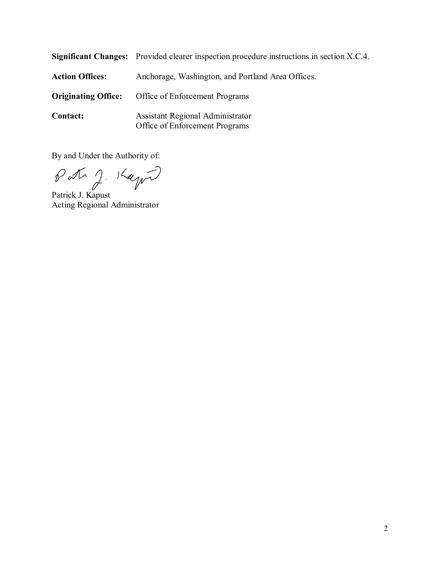|                            | <b>Significant Changes:</b> Provided clearer inspection procedure instructions in section X.C.4. |
|----------------------------|--------------------------------------------------------------------------------------------------|
| <b>Action Offices:</b>     | Anchorage, Washington, and Portland Area Offices.                                                |
| <b>Originating Office:</b> | Office of Enforcement Programs                                                                   |
| <b>Contact:</b>            | Assistant Regional Administrator<br>Office of Enforcement Programs                               |

By and Under the Authority of:

Patrick J. Kaynn

Acting Regional Administrator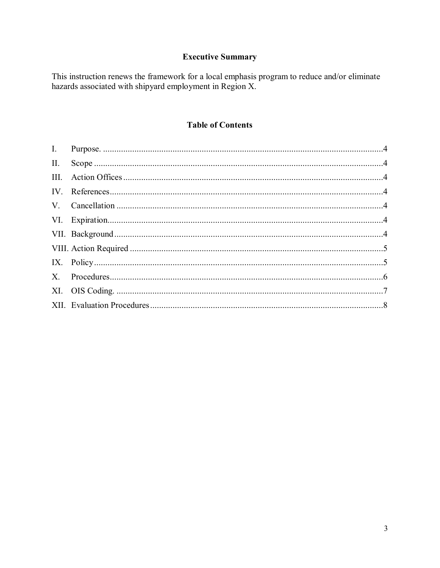# **Executive Summary**

This instruction renews the framework for a local emphasis program to reduce and/or eliminate hazards associated with shipyard employment in Region X.

# **Table of Contents**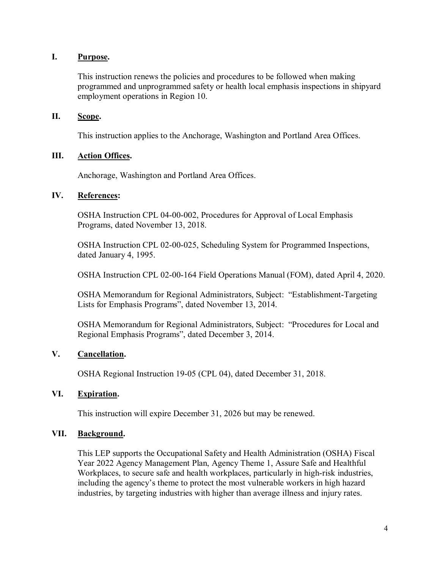## **I. Purpose.**

<span id="page-3-0"></span>This instruction renews the policies and procedures to be followed when making programmed and unprogrammed safety or health local emphasis inspections in shipyard employment operations in Region 10.

### <span id="page-3-1"></span>**II. Scope.**

This instruction applies to the Anchorage, Washington and Portland Area Offices.

### <span id="page-3-2"></span>**III. Action Offices.**

Anchorage, Washington and Portland Area Offices.

#### <span id="page-3-3"></span>**IV. References:**

OSHA Instruction CPL 04-00-002, Procedures for Approval of Local Emphasis Programs, dated November 13, 2018.

OSHA Instruction CPL 02-00-025, Scheduling System for Programmed Inspections, dated January 4, 1995.

OSHA Instruction CPL 02-00-164 Field Operations Manual (FOM), dated April 4, 2020.

OSHA Memorandum for Regional Administrators, Subject: "Establishment-Targeting Lists for Emphasis Programs", dated November 13, 2014.

OSHA Memorandum for Regional Administrators, Subject: "Procedures for Local and Regional Emphasis Programs", dated December 3, 2014.

## <span id="page-3-4"></span>**V. Cancellation.**

OSHA Regional Instruction 19-05 (CPL 04), dated December 31, 2018.

#### <span id="page-3-5"></span>**VI. Expiration.**

This instruction will expire December 31, 2026 but may be renewed.

#### <span id="page-3-6"></span>**VII. Background.**

This LEP supports the Occupational Safety and Health Administration (OSHA) Fiscal Year 2022 Agency Management Plan, Agency Theme 1, Assure Safe and Healthful Workplaces, to secure safe and health workplaces, particularly in high-risk industries, including the agency's theme to protect the most vulnerable workers in high hazard industries, by targeting industries with higher than average illness and injury rates.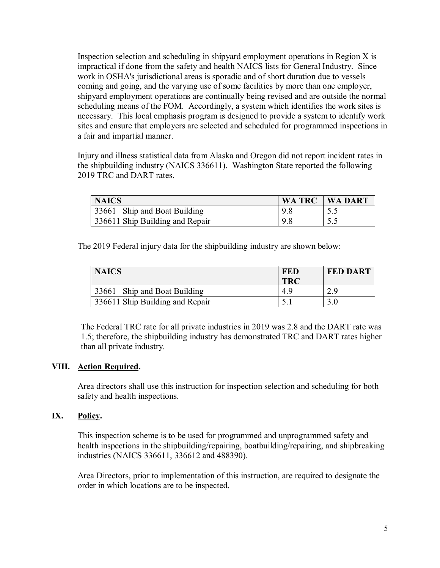Inspection selection and scheduling in shipyard employment operations in Region X is impractical if done from the safety and health NAICS lists for General Industry. Since work in OSHA's jurisdictional areas is sporadic and of short duration due to vessels coming and going, and the varying use of some facilities by more than one employer, shipyard employment operations are continually being revised and are outside the normal scheduling means of the FOM. Accordingly, a system which identifies the work sites is necessary. This local emphasis program is designed to provide a system to identify work sites and ensure that employers are selected and scheduled for programmed inspections in a fair and impartial manner.

Injury and illness statistical data from Alaska and Oregon did not report incident rates in the shipbuilding industry (NAICS 336611). Washington State reported the following 2019 TRC and DART rates.

| <b>NAICS</b>                    | <b>WA TRC   WA DART</b> |
|---------------------------------|-------------------------|
| 33661 Ship and Boat Building    |                         |
| 336611 Ship Building and Repair |                         |

The 2019 Federal injury data for the shipbuilding industry are shown below:

| <b>NAICS</b>                    | <b>FED</b><br><b>TRC</b> | <b>FED DART</b> |
|---------------------------------|--------------------------|-----------------|
| 33661 Ship and Boat Building    | 4.9                      |                 |
| 336611 Ship Building and Repair |                          |                 |

The Federal TRC rate for all private industries in 2019 was 2.8 and the DART rate was 1.5; therefore, the shipbuilding industry has demonstrated TRC and DART rates higher than all private industry.

## <span id="page-4-0"></span>**VIII. Action Required.**

Area directors shall use this instruction for inspection selection and scheduling for both safety and health inspections.

## <span id="page-4-1"></span>**IX. Policy.**

This inspection scheme is to be used for programmed and unprogrammed safety and health inspections in the shipbuilding/repairing, boatbuilding/repairing, and shipbreaking industries (NAICS 336611, 336612 and 488390).

Area Directors, prior to implementation of this instruction, are required to designate the order in which locations are to be inspected.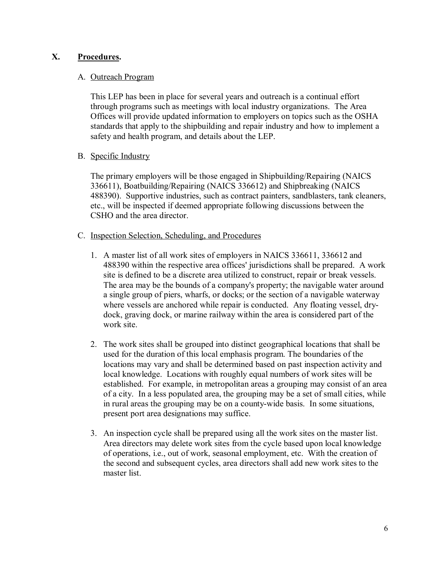## <span id="page-5-0"></span>**X. Procedures.**

#### A. Outreach Program

This LEP has been in place for several years and outreach is a continual effort through programs such as meetings with local industry organizations. The Area Offices will provide updated information to employers on topics such as the OSHA standards that apply to the shipbuilding and repair industry and how to implement a safety and health program, and details about the LEP.

#### B. Specific Industry

The primary employers will be those engaged in Shipbuilding/Repairing (NAICS 336611), Boatbuilding/Repairing (NAICS 336612) and Shipbreaking (NAICS 488390). Supportive industries, such as contract painters, sandblasters, tank cleaners, etc., will be inspected if deemed appropriate following discussions between the CSHO and the area director.

#### C. Inspection Selection, Scheduling, and Procedures

- 1. A master list of all work sites of employers in NAICS 336611, 336612 and 488390 within the respective area offices' jurisdictions shall be prepared. A work site is defined to be a discrete area utilized to construct, repair or break vessels. The area may be the bounds of a company's property; the navigable water around a single group of piers, wharfs, or docks; or the section of a navigable waterway where vessels are anchored while repair is conducted. Any floating vessel, drydock, graving dock, or marine railway within the area is considered part of the work site.
- 2. The work sites shall be grouped into distinct geographical locations that shall be used for the duration of this local emphasis program. The boundaries of the locations may vary and shall be determined based on past inspection activity and local knowledge. Locations with roughly equal numbers of work sites will be established. For example, in metropolitan areas a grouping may consist of an area of a city. In a less populated area, the grouping may be a set of small cities, while in rural areas the grouping may be on a county-wide basis. In some situations, present port area designations may suffice.
- 3. An inspection cycle shall be prepared using all the work sites on the master list. Area directors may delete work sites from the cycle based upon local knowledge of operations, i.e., out of work, seasonal employment, etc. With the creation of the second and subsequent cycles, area directors shall add new work sites to the master list.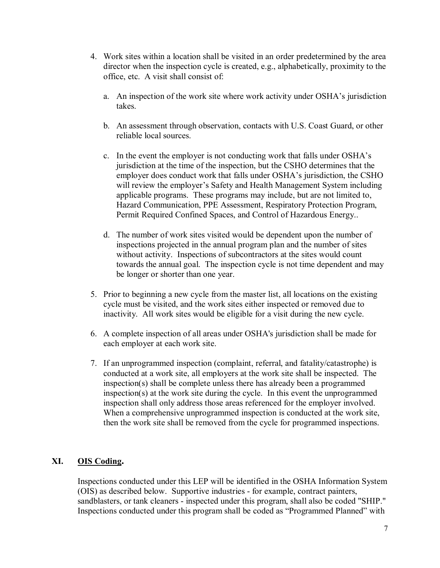- 4. Work sites within a location shall be visited in an order predetermined by the area director when the inspection cycle is created, e.g., alphabetically, proximity to the office, etc. A visit shall consist of:
	- a. An inspection of the work site where work activity under OSHA's jurisdiction takes.
	- b. An assessment through observation, contacts with U.S. Coast Guard, or other reliable local sources.
	- c. In the event the employer is not conducting work that falls under OSHA's jurisdiction at the time of the inspection, but the CSHO determines that the employer does conduct work that falls under OSHA's jurisdiction, the CSHO will review the employer's Safety and Health Management System including applicable programs. These programs may include, but are not limited to, Hazard Communication, PPE Assessment, Respiratory Protection Program, Permit Required Confined Spaces, and Control of Hazardous Energy..
	- d. The number of work sites visited would be dependent upon the number of inspections projected in the annual program plan and the number of sites without activity. Inspections of subcontractors at the sites would count towards the annual goal. The inspection cycle is not time dependent and may be longer or shorter than one year.
- 5. Prior to beginning a new cycle from the master list, all locations on the existing cycle must be visited, and the work sites either inspected or removed due to inactivity. All work sites would be eligible for a visit during the new cycle.
- 6. A complete inspection of all areas under OSHA's jurisdiction shall be made for each employer at each work site.
- 7. If an unprogrammed inspection (complaint, referral, and fatality/catastrophe) is conducted at a work site, all employers at the work site shall be inspected. The inspection(s) shall be complete unless there has already been a programmed inspection(s) at the work site during the cycle. In this event the unprogrammed inspection shall only address those areas referenced for the employer involved. When a comprehensive unprogrammed inspection is conducted at the work site, then the work site shall be removed from the cycle for programmed inspections.

## <span id="page-6-0"></span>**XI. OIS Coding.**

Inspections conducted under this LEP will be identified in the OSHA Information System (OIS) as described below. Supportive industries - for example, contract painters, sandblasters, or tank cleaners - inspected under this program, shall also be coded "SHIP." Inspections conducted under this program shall be coded as "Programmed Planned" with